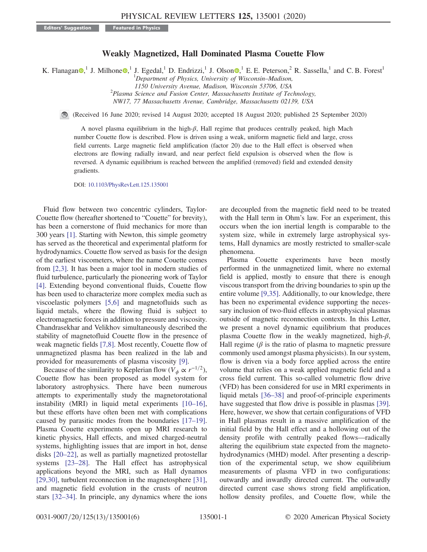Editors' Suggestion Featured in Physics

## Weakly Magnetized, Hall Dominated Plasma Couette Flow

K. Flanagan [,](https://orcid.org/0000-0002-1090-4789)<sup>1</sup> J. Milhone ,<sup>1</sup> J. Egedal,<sup>1</sup> D. Endrizzi,<sup>1</sup> J. Olson ,<sup>1</sup> E. E. Peterson,<sup>2</sup> R. Sassella,<sup>1</sup> and C. B. Forest<sup>1</sup>

<sup>1</sup>Department of Physics, University of Wisconsin-Madison, 1150 University Avenue, Madison, Wisconsin 53706, USA <sup>2</sup>

 $P<sup>2</sup>$ Plasma Science and Fusion Center, Massachusetts Institute of Technology,

NW17, 77 Massachusetts Avenue, Cambridge, Massachusetts 02139, USA

(Received 16 June 2020; revised 14 August 2020; accepted 18 August 2020; published 25 September 2020)

A novel plasma equilibrium in the high-β, Hall regime that produces centrally peaked, high Mach number Couette flow is described. Flow is driven using a weak, uniform magnetic field and large, cross field currents. Large magnetic field amplification (factor 20) due to the Hall effect is observed when electrons are flowing radially inward, and near perfect field expulsion is observed when the flow is reversed. A dynamic equilibrium is reached between the amplified (removed) field and extended density gradients.

DOI: [10.1103/PhysRevLett.125.135001](https://doi.org/10.1103/PhysRevLett.125.135001)

Fluid flow between two concentric cylinders, Taylor-Couette flow (hereafter shortened to "Couette" for brevity), has been a cornerstone of fluid mechanics for more than 300 years [\[1\].](#page-4-0) Starting with Newton, this simple geometry has served as the theoretical and experimental platform for hydrodynamics. Couette flow served as basis for the design of the earliest viscometers, where the name Couette comes from [\[2,3\].](#page-4-1) It has been a major tool in modern studies of fluid turbulence, particularly the pioneering work of Taylor [\[4\]](#page-4-2). Extending beyond conventional fluids, Couette flow has been used to characterize more complex media such as viscoelastic polymers [\[5,6\]](#page-4-3) and magnetofluids such as liquid metals, where the flowing fluid is subject to electromagnetic forces in addition to pressure and viscosity. Chandrasekhar and Velikhov simultaneously described the stability of magnetofluid Couette flow in the presence of weak magnetic fields [\[7,8\]](#page-4-4). Most recently, Couette flow of unmagnetized plasma has been realized in the lab and provided for measurements of plasma viscosity [\[9\]](#page-4-5).

Because of the similarity to Keplerian flow ( $V_{\phi} \propto r^{-1/2}$ ), Couette flow has been proposed as model system for laboratory astrophysics. There have been numerous attempts to experimentally study the magnetorotational instability (MRI) in liquid metal experiments [\[10](#page-4-6)–16], but these efforts have often been met with complications caused by parasitic modes from the boundaries [\[17](#page-4-7)–19]. Plasma Couette experiments open up MRI research to kinetic physics, Hall effects, and mixed charged-neutral systems, highlighting issues that are import in hot, dense disks [20–[22\],](#page-4-8) as well as partially magnetized protostellar systems [\[23](#page-4-9)–28]. The Hall effect has astrophysical applications beyond the MRI, such as Hall dynamos [\[29,30\]](#page-4-10), turbulent reconnection in the magnetosphere [\[31\]](#page-5-0), and magnetic field evolution in the crusts of neutron stars [32–[34\].](#page-5-1) In principle, any dynamics where the ions are decoupled from the magnetic field need to be treated with the Hall term in Ohm's law. For an experiment, this occurs when the ion inertial length is comparable to the system size, while in extremely large astrophysical systems, Hall dynamics are mostly restricted to smaller-scale phenomena.

Plasma Couette experiments have been mostly performed in the unmagnetized limit, where no external field is applied, mostly to ensure that there is enough viscous transport from the driving boundaries to spin up the entire volume [\[9,35\].](#page-4-5) Additionally, to our knowledge, there has been no experimental evidence supporting the necessary inclusion of two-fluid effects in astrophysical plasmas outside of magnetic reconnection contexts. In this Letter, we present a novel dynamic equilibrium that produces plasma Couette flow in the weakly magnetized, high- $\beta$ , Hall regime  $(\beta)$  is the ratio of plasma to magnetic pressure commonly used amongst plasma physicists). In our system, flow is driven via a body force applied across the entire volume that relies on a weak applied magnetic field and a cross field current. This so-called volumetric flow drive (VFD) has been considered for use in MRI experiments in liquid metals [\[36](#page-5-2)–38] and proof-of-principle experiments have suggested that flow drive is possible in plasmas [\[39\]](#page-5-3). Here, however, we show that certain configurations of VFD in Hall plasmas result in a massive amplification of the initial field by the Hall effect and a hollowing out of the density profile with centrally peaked flows—radically altering the equilibrium state expected from the magnetohydrodynamics (MHD) model. After presenting a description of the experimental setup, we show equilibrium measurements of plasma VFD in two configurations: outwardly and inwardly directed current. The outwardly directed current case shows strong field amplification, hollow density profiles, and Couette flow, while the

0031-9007/20/125(13)/135001(6) 135001-1 © 2020 American Physical Society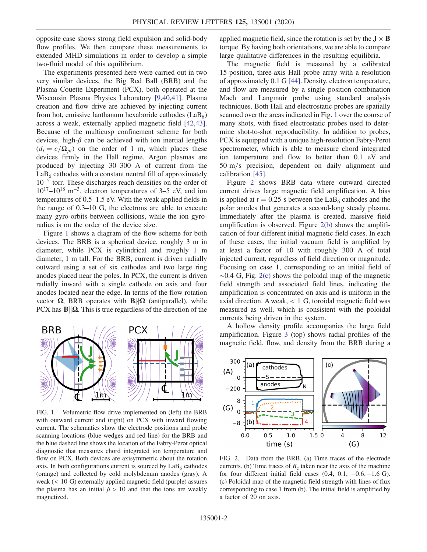opposite case shows strong field expulsion and solid-body flow profiles. We then compare these measurements to extended MHD simulations in order to develop a simple two-fluid model of this equilibrium.

The experiments presented here were carried out in two very similar devices, the Big Red Ball (BRB) and the Plasma Couette Experiment (PCX), both operated at the Wisconsin Plasma Physics Laboratory [\[9,40,41\].](#page-4-5) Plasma creation and flow drive are achieved by injecting current from hot, emissive lanthanum hexaboride cathodes  $(LaB<sub>6</sub>)$ across a weak, externally applied magnetic field [\[42,43\]](#page-5-4). Because of the multicusp confinement scheme for both devices, high- $\beta$  can be achieved with ion inertial lengths  $(d_i = c/\Omega_{pi})$  on the order of 1 m, which places these devices firmly in the Hall regime. Argon plasmas are produced by injecting 30–300 A of current from the  $LaB<sub>6</sub>$  cathodes with a constant neutral fill of approximately 10<sup>−</sup><sup>5</sup> torr. These discharges reach densities on the order of  $10^{17}$ – $10^{18}$  m<sup>-3</sup>, electron temperatures of 3–5 eV, and ion temperatures of 0.5–1.5 eV. With the weak applied fields in the range of 0.3–10 G, the electrons are able to execute many gyro-orbits between collisions, while the ion gyroradius is on the order of the device size.

Figure [1](#page-1-0) shows a diagram of the flow scheme for both devices. The BRB is a spherical device, roughly 3 m in diameter, while PCX is cylindrical and roughly 1 m diameter, 1 m tall. For the BRB, current is driven radially outward using a set of six cathodes and two large ring anodes placed near the poles. In PCX, the current is driven radially inward with a single cathode on axis and four anodes located near the edge. In terms of the flow rotation vector  $\Omega$ , BRB operates with **B** $\|\Omega\|$  (antiparallel), while PCX has  $\mathbf{B} \|\Omega$ . This is true regardless of the direction of the

<span id="page-1-0"></span>

FIG. 1. Volumetric flow drive implemented on (left) the BRB with outward current and (right) on PCX with inward flowing current. The schematics show the electrode positions and probe scanning locations (blue wedges and red line) for the BRB and the blue dashed line shows the location of the Fabry-Perot optical diagnostic that measures chord integrated ion temperature and flow on PCX. Both devices are axisymmetric about the rotation axis. In both configurations current is sourced by  $LaB<sub>6</sub>$  cathodes (orange) and collected by cold molybdenum anodes (gray). A weak (< 10 G) externally applied magnetic field (purple) assures the plasma has an initial  $\beta > 10$  and that the ions are weakly magnetized.

applied magnetic field, since the rotation is set by the  $J \times B$ torque. By having both orientations, we are able to compare large qualitative differences in the resulting equilibria.

The magnetic field is measured by a calibrated 15-position, three-axis Hall probe array with a resolution of approximately 0.1 G [\[44\].](#page-5-5) Density, electron temperature, and flow are measured by a single position combination Mach and Langmuir probe using standard analysis techniques. Both Hall and electrostatic probes are spatially scanned over the areas indicated in Fig. [1](#page-1-0) over the course of many shots, with fixed electrostatic probes used to determine shot-to-shot reproducibility. In addition to probes, PCX is equipped with a unique high-resolution Fabry-Perot spectrometer, which is able to measure chord integrated ion temperature and flow to better than 0.1 eV and  $50 \text{ m/s}$  precision, dependent on daily alignment and calibration [\[45\]](#page-5-6).

Figure [2](#page-1-1) shows BRB data where outward directed current drives large magnetic field amplification. A bias is applied at  $t = 0.25$  s between the LaB<sub>6</sub> cathodes and the polar anodes that generates a second-long steady plasma. Immediately after the plasma is created, massive field amplification is observed. Figure [2\(b\)](#page-1-1) shows the amplification of four different initial magnetic field cases. In each of these cases, the initial vacuum field is amplified by at least a factor of 10 with roughly 300 A of total injected current, regardless of field direction or magnitude. Focusing on case 1, corresponding to an initial field of ∼0.4 G, Fig. [2\(c\)](#page-1-1) shows the poloidal map of the magnetic field strength and associated field lines, indicating the amplification is concentrated on axis and is uniform in the axial direction. A weak, < 1 G, toroidal magnetic field was measured as well, which is consistent with the poloidal currents being driven in the system.

A hollow density profile accompanies the large field amplification. Figure [3](#page-2-0) (top) shows radial profiles of the magnetic field, flow, and density from the BRB during a

<span id="page-1-1"></span>

FIG. 2. Data from the BRB. (a) Time traces of the electrode currents. (b) Time traces of  $B<sub>z</sub>$  taken near the axis of the machine for four different initial field cases  $(0.4, 0.1, -0.6, -1.6 \text{ G})$ . (c) Poloidal map of the magnetic field strength with lines of flux corresponding to case 1 from (b). The initial field is amplified by a factor of 20 on axis.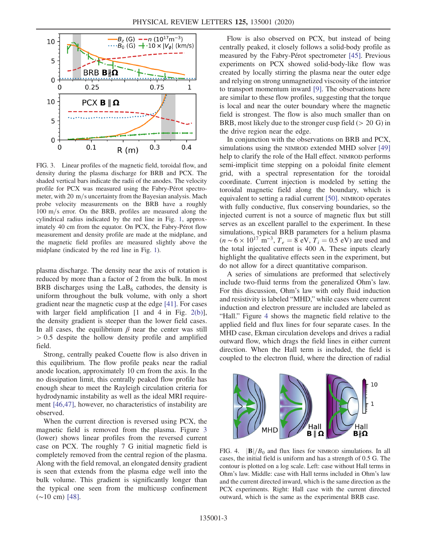<span id="page-2-0"></span>

FIG. 3. Linear profiles of the magnetic field, toroidal flow, and density during the plasma discharge for BRB and PCX. The shaded vertical bars indicate the radii of the anodes. The velocity profile for PCX was measured using the Fabry-Pérot spectrometer, with  $20 \text{ m/s}$  uncertainty from the Bayesian analysis. Mach probe velocity measurements on the BRB have a roughly  $100 \text{ m/s}$  error. On the BRB, profiles are measured along the cylindrical radius indicated by the red line in Fig. [1](#page-1-0), approximately 40 cm from the equator. On PCX, the Fabry-Pérot flow measurement and density profile are made at the midplane, and the magnetic field profiles are measured slightly above the midplane (indicated by the red line in Fig. [1](#page-1-0)).

plasma discharge. The density near the axis of rotation is reduced by more than a factor of 2 from the bulk. In most BRB discharges using the  $LaB<sub>6</sub>$  cathodes, the density is uniform throughout the bulk volume, with only a short gradient near the magnetic cusp at the edge [\[41\].](#page-5-7) For cases with larger field amplification  $[1 \text{ and } 4 \text{ in Fig. } 2(b)]$  $[1 \text{ and } 4 \text{ in Fig. } 2(b)]$  $[1 \text{ and } 4 \text{ in Fig. } 2(b)]$ , the density gradient is steeper than the lower field cases. In all cases, the equilibrium  $\beta$  near the center was still > 0.5 despite the hollow density profile and amplified field.

Strong, centrally peaked Couette flow is also driven in this equilibrium. The flow profile peaks near the radial anode location, approximately 10 cm from the axis. In the no dissipation limit, this centrally peaked flow profile has enough shear to meet the Rayleigh circulation criteria for hydrodynamic instability as well as the ideal MRI requirement [\[46,47\]](#page-5-8), however, no characteristics of instability are observed.

When the current direction is reversed using PCX, the magnetic field is removed from the plasma. Figure [3](#page-2-0) (lower) shows linear profiles from the reversed current case on PCX. The roughly 7 G initial magnetic field is completely removed from the central region of the plasma. Along with the field removal, an elongated density gradient is seen that extends from the plasma edge well into the bulk volume. This gradient is significantly longer than the typical one seen from the multicusp confinement (∼10 cm) [\[48\]](#page-5-9).

Flow is also observed on PCX, but instead of being centrally peaked, it closely follows a solid-body profile as measured by the Fabry-Pérot spectrometer [\[45\]](#page-5-6). Previous experiments on PCX showed solid-body-like flow was created by locally stirring the plasma near the outer edge and relying on strong unmagnetized viscosity of the interior to transport momentum inward [\[9\]](#page-4-5). The observations here are similar to these flow profiles, suggesting that the torque is local and near the outer boundary where the magnetic field is strongest. The flow is also much smaller than on BRB, most likely due to the stronger cusp field  $(> 20 \text{ G})$  in the drive region near the edge.

In conjunction with the observations on BRB and PCX, simulations using the NIMROD extended MHD solver [\[49\]](#page-5-10) help to clarify the role of the Hall effect. NIMROD performs semi-implicit time stepping on a poloidal finite element grid, with a spectral representation for the toroidal coordinate. Current injection is modeled by setting the toroidal magnetic field along the boundary, which is equivalent to setting a radial current [\[50\]](#page-5-11). NIMROD operates with fully conductive, flux conserving boundaries, so the injected current is not a source of magnetic flux but still serves as an excellent parallel to the experiment. In these simulations, typical BRB parameters for a helium plasma  $(n \sim 6 \times 10^{17} \text{ m}^{-3}, T_e = 8 \text{ eV}, T_i = 0.5 \text{ eV})$  are used and the total injected current is 400 A. These inputs clearly highlight the qualitative effects seen in the experiment, but do not allow for a direct quantitative comparison.

A series of simulations are preformed that selectively include two-fluid terms from the generalized Ohm's law. For this discussion, Ohm's law with only fluid induction and resistivity is labeled "MHD," while cases where current induction and electron pressure are included are labeled as "Hall." Figure [4](#page-2-1) shows the magnetic field relative to the applied field and flux lines for four separate cases. In the MHD case, Ekman circulation develops and drives a radial outward flow, which drags the field lines in either current direction. When the Hall term is included, the field is coupled to the electron fluid, where the direction of radial

<span id="page-2-1"></span>

FIG. 4.  $|\mathbf{B}|/B_0$  and flux lines for NIMROD simulations. In all cases, the initial field is uniform and has a strength of 0.5 G. The contour is plotted on a log scale. Left: case without Hall terms in Ohm's law. Middle: case with Hall terms included in Ohm's law and the current directed inward, which is the same direction as the PCX experiments. Right: Hall case with the current directed outward, which is the same as the experimental BRB case.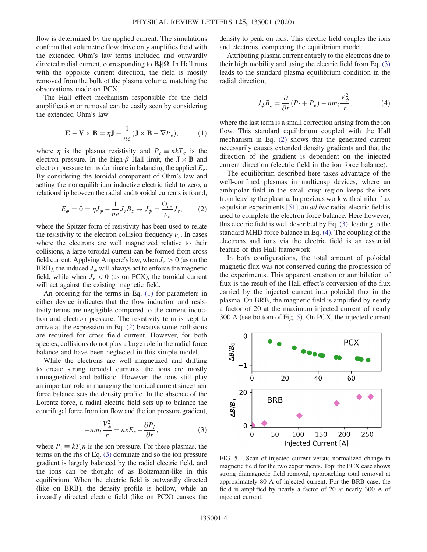flow is determined by the applied current. The simulations confirm that volumetric flow drive only amplifies field with the extended Ohm's law terms included and outwardly directed radial current, corresponding to  $\mathbf{B} \sharp \Omega$ . In Hall runs with the opposite current direction, the field is mostly removed from the bulk of the plasma volume, matching the observations made on PCX.

<span id="page-3-0"></span>The Hall effect mechanism responsible for the field amplification or removal can be easily seen by considering the extended Ohm's law

$$
\mathbf{E} - \mathbf{V} \times \mathbf{B} = \eta \mathbf{J} + \frac{1}{ne} (\mathbf{J} \times \mathbf{B} - \nabla P_e),
$$
 (1)

where  $\eta$  is the plasma resistivity and  $P_e \equiv n kT_e$  is the electron pressure. In the high- $\beta$  Hall limit, the  $J \times B$  and electron pressure terms dominate in balancing the applied  $E_r$ . By considering the toroidal component of Ohm's law and setting the nonequilibrium inductive electric field to zero, a relationship between the radial and toroidal currents is found,

<span id="page-3-1"></span>
$$
E_{\phi} = 0 = \eta J_{\phi} - \frac{1}{ne} J_r B_z \rightarrow J_{\phi} = \frac{\Omega_{ce}}{\nu_e} J_r, \qquad (2)
$$

where the Spitzer form of resistivity has been used to relate the resistivity to the electron collision frequency  $\nu_e$ . In cases where the electrons are well magnetized relative to their collisions, a large toroidal current can be formed from cross field current. Applying Ampere's law, when  $J_r > 0$  (as on the BRB), the induced  $J_{\phi}$  will always act to enforce the magnetic field, while when  $J_r < 0$  (as on PCX), the toroidal current will act against the existing magnetic field.

An ordering for the terms in Eq. [\(1\)](#page-3-0) for parameters in either device indicates that the flow induction and resistivity terms are negligible compared to the current induction and electron pressure. The resistivity term is kept to arrive at the expression in Eq. [\(2\)](#page-3-1) because some collisions are required for cross field current. However, for both species, collisions do not play a large role in the radial force balance and have been neglected in this simple model.

While the electrons are well magnetized and drifting to create strong toroidal currents, the ions are mostly unmagnetized and ballistic. However, the ions still play an important role in managing the toroidal current since their force balance sets the density profile. In the absence of the Lorentz force, a radial electric field sets up to balance the centrifugal force from ion flow and the ion pressure gradient,

$$
-nm_i\frac{V_{\phi}^2}{r} = neE_r - \frac{\partial P_i}{\partial r},
$$
\n(3)

<span id="page-3-2"></span>where  $P_i \equiv kT_i n$  is the ion pressure. For these plasmas, the terms on the rhs of Eq. [\(3\)](#page-3-2) dominate and so the ion pressure gradient is largely balanced by the radial electric field, and the ions can be thought of as Boltzmann-like in this equilibrium. When the electric field is outwardly directed (like on BRB), the density profile is hollow, while an inwardly directed electric field (like on PCX) causes the density to peak on axis. This electric field couples the ions and electrons, completing the equilibrium model.

<span id="page-3-3"></span>Attributing plasma current entirely to the electrons due to their high mobility and using the electric field from Eq. [\(3\)](#page-3-2) leads to the standard plasma equilibrium condition in the radial direction,

$$
J_{\phi}B_{z} = \frac{\partial}{\partial r}(P_{i} + P_{e}) - nm_{i}\frac{V_{\phi}^{2}}{r}, \qquad (4)
$$

where the last term is a small correction arising from the ion flow. This standard equilibrium coupled with the Hall mechanism in Eq. [\(2\)](#page-3-1) shows that the generated current necessarily causes extended density gradients and that the direction of the gradient is dependent on the injected current direction (electric field in the ion force balance).

The equilibrium described here takes advantage of the well-confined plasmas in multicusp devices, where an ambipolar field in the small cusp region keeps the ions from leaving the plasma. In previous work with similar flux expulsion experiments [\[51\],](#page-5-12) an ad hoc radial electric field is used to complete the electron force balance. Here however, this electric field is well described by Eq. [\(3\)](#page-3-2), leading to the standard MHD force balance in Eq. [\(4\).](#page-3-3) The coupling of the electrons and ions via the electric field is an essential feature of this Hall framework.

In both configurations, the total amount of poloidal magnetic flux was not conserved during the progression of the experiments. This apparent creation or annihilation of flux is the result of the Hall effect's conversion of the flux carried by the injected current into poloidal flux in the plasma. On BRB, the magnetic field is amplified by nearly a factor of 20 at the maximum injected current of nearly 300 A (see bottom of Fig. [5\)](#page-3-4). On PCX, the injected current

<span id="page-3-4"></span>

FIG. 5. Scan of injected current versus normalized change in magnetic field for the two experiments. Top: the PCX case shows strong diamagnetic field removal, approaching total removal at approximately 80 A of injected current. For the BRB case, the field is amplified by nearly a factor of 20 at nearly 300 A of injected current.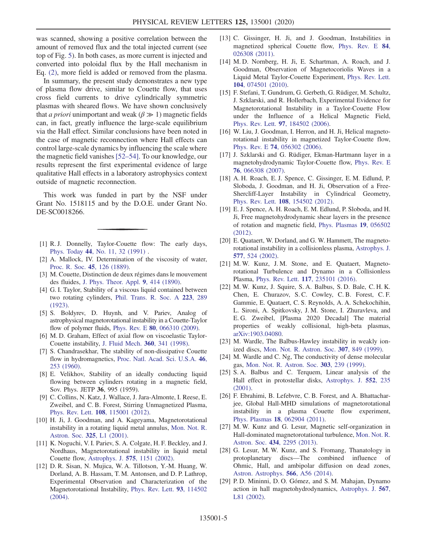was scanned, showing a positive correlation between the amount of removed flux and the total injected current (see top of Fig. [5](#page-3-4)). In both cases, as more current is injected and converted into poloidal flux by the Hall mechanism in Eq. [\(2\),](#page-3-1) more field is added or removed from the plasma.

In summary, the present study demonstrates a new type of plasma flow drive, similar to Couette flow, that uses cross field currents to drive cylindrically symmetric plasmas with sheared flows. We have shown conclusively that *a priori* unimportant and weak ( $\beta \gg 1$ ) magnetic fields can, in fact, greatly influence the large-scale equilibrium via the Hall effect. Similar conclusions have been noted in the case of magnetic reconnection where Hall effects can control large-scale dynamics by influencing the scale where the magnetic field vanishes [52–[54\].](#page-5-13) To our knowledge, our results represent the first experimental evidence of large qualitative Hall effects in a laboratory astrophysics context outside of magnetic reconnection.

This work was funded in part by the NSF under Grant No. 1518115 and by the D.O.E. under Grant No. DE-SC0018266.

- <span id="page-4-1"></span><span id="page-4-0"></span>[1] R. J. Donnelly, Taylor-Couette flow: The early days, Phys. Today 44[, No. 11, 32 \(1991\)](https://doi.org/10.1063/1.881296) .
- [2] A. Mallock, IV. Determination of the viscosity of water, [Proc. R. Soc.](https://doi.org/10.1098/rspl.1888.0081) 45, 126 (1889).
- <span id="page-4-2"></span>[3] M. Couette, Distinction de deux régimes dans le mouvement des fluides, [J. Phys. Theor. Appl.](https://doi.org/10.1051/jphystap:018900090041401) 9, 414 (1890).
- [4] G. I. Taylor, Stability of a viscous liquid contained between two rotating cylinders, [Phil. Trans. R. Soc. A](https://doi.org/10.1098/rsta.1923.0008) 223, 289 [\(1923\).](https://doi.org/10.1098/rsta.1923.0008)
- <span id="page-4-3"></span>[5] S. Boldyrev, D. Huynh, and V. Pariev, Analog of astrophysical magnetorotational instability in a Couette-Taylor flow of polymer fluids, Phys. Rev. E 80[, 066310 \(2009\)](https://doi.org/10.1103/PhysRevE.80.066310).
- <span id="page-4-4"></span>[6] M. D. Graham, Effect of axial flow on viscoelastic Taylor-Couette instability, [J. Fluid Mech.](https://doi.org/10.1017/S0022112098008611) 360, 341 (1998).
- [7] S. Chandrasekhar, The stability of non-dissipative Couette flow in hydromagnetics, [Proc. Natl. Acad. Sci. U.S.A.](https://doi.org/10.1073/pnas.46.2.253) 46, [253 \(1960\)](https://doi.org/10.1073/pnas.46.2.253).
- [8] E. Velikhov, Stability of an ideally conducting liquid flowing between cylinders rotating in a magnetic field, Sov. Phys. JETP 36, 995 (1959).
- <span id="page-4-5"></span>[9] C. Collins, N. Katz, J. Wallace, J. Jara-Almonte, I. Reese, E. Zweibel, and C. B. Forest, Stirring Unmagnetized Plasma, Phys. Rev. Lett. 108[, 115001 \(2012\).](https://doi.org/10.1103/PhysRevLett.108.115001)
- <span id="page-4-6"></span>[10] H. Ji, J. Goodman, and A. Kageyama, Magnetorotational instability in a rotating liquid metal annulus, [Mon. Not. R.](https://doi.org/10.1046/j.1365-8711.2001.04647.x) [Astron. Soc.](https://doi.org/10.1046/j.1365-8711.2001.04647.x) 325, L1 (2001).
- [11] K. Noguchi, V. I. Pariev, S. A. Colgate, H. F. Beckley, and J. Nordhaus, Magnetorotational instability in liquid metal Couette flow, Astrophys. J. 575[, 1151 \(2002\).](https://doi.org/10.1086/341502)
- [12] D. R. Sisan, N. Mujica, W. A. Tillotson, Y.-M. Huang, W. Dorland, A. B. Hassam, T. M. Antonsen, and D. P. Lathrop, Experimental Observation and Characterization of the Magnetorotational Instability, [Phys. Rev. Lett.](https://doi.org/10.1103/PhysRevLett.93.114502) 93, 114502 [\(2004\).](https://doi.org/10.1103/PhysRevLett.93.114502)
- [13] C. Gissinger, H. Ji, and J. Goodman, Instabilities in magnetized spherical Couette flow, [Phys. Rev. E](https://doi.org/10.1103/PhysRevE.84.026308) 84, [026308 \(2011\).](https://doi.org/10.1103/PhysRevE.84.026308)
- [14] M. D. Nornberg, H. Ji, E. Schartman, A. Roach, and J. Goodman, Observation of Magnetocoriolis Waves in a Liquid Metal Taylor-Couette Experiment, [Phys. Rev. Lett.](https://doi.org/10.1103/PhysRevLett.104.074501) 104[, 074501 \(2010\).](https://doi.org/10.1103/PhysRevLett.104.074501)
- [15] F. Stefani, T. Gundrum, G. Gerbeth, G. Rüdiger, M. Schultz, J. Szklarski, and R. Hollerbach, Experimental Evidence for Magnetorotational Instability in a Taylor-Couette Flow under the Influence of a Helical Magnetic Field, Phys. Rev. Lett. 97[, 184502 \(2006\)](https://doi.org/10.1103/PhysRevLett.97.184502).
- [16] W. Liu, J. Goodman, I. Herron, and H. Ji, Helical magnetorotational instability in magnetized Taylor-Couette flow, Phys. Rev. E 74[, 056302 \(2006\)](https://doi.org/10.1103/PhysRevE.74.056302).
- <span id="page-4-7"></span>[17] J. Szklarski and G. Rüdiger, Ekman-Hartmann layer in a magnetohydrodynamic Taylor-Couette flow, [Phys. Rev. E](https://doi.org/10.1103/PhysRevE.76.066308) 76[, 066308 \(2007\).](https://doi.org/10.1103/PhysRevE.76.066308)
- [18] A. H. Roach, E. J. Spence, C. Gissinger, E. M. Edlund, P. Sloboda, J. Goodman, and H. Ji, Observation of a Free-Shercliff-Layer Instability in Cylindrical Geometry, Phys. Rev. Lett. 108[, 154502 \(2012\).](https://doi.org/10.1103/PhysRevLett.108.154502)
- [19] E. J. Spence, A. H. Roach, E. M. Edlund, P. Sloboda, and H. Ji, Free magnetohydrodynamic shear layers in the presence of rotation and magnetic field, [Phys. Plasmas](https://doi.org/10.1063/1.3702006) 19, 056502 [\(2012\).](https://doi.org/10.1063/1.3702006)
- <span id="page-4-8"></span>[20] E. Quataert, W. Dorland, and G. W. Hammett, The magnetorotational instability in a collisionless plasma, [Astrophys. J.](https://doi.org/10.1086/342174) 577[, 524 \(2002\)](https://doi.org/10.1086/342174).
- [21] M. W. Kunz, J. M. Stone, and E. Quataert, Magnetorotational Turbulence and Dynamo in a Collisionless Plasma, Phys. Rev. Lett. 117[, 235101 \(2016\).](https://doi.org/10.1103/PhysRevLett.117.235101)
- [22] M. W. Kunz, J. Squire, S. A. Balbus, S. D. Bale, C. H. K. Chen, E. Churazov, S. C. Cowley, C. B. Forest, C. F. Gammie, E. Quataert, C. S. Reynolds, A. A. Schekochihin, L. Sironi, A. Spitkovsky, J. M. Stone, I. Zhuravleva, and E. G. Zweibel, [Plasma 2020 Decadal] The material properties of weakly collisional, high-beta plasmas, [arXiv:1903.04080.](https://arXiv.org/abs/1903.04080)
- <span id="page-4-9"></span>[23] M. Wardle, The Balbus-Hawley instability in weakly ionized discs, [Mon. Not. R. Astron. Soc.](https://doi.org/10.1046/j.1365-8711.1999.02670.x) 307, 849 (1999).
- [24] M. Wardle and C. Ng, The conductivity of dense molecular gas, [Mon. Not. R. Astron. Soc.](https://doi.org/10.1046/j.1365-8711.1999.02211.x) 303, 239 (1999).
- [25] S.A. Balbus and C. Terquem, Linear analysis of the Hall effect in protostellar disks, [Astrophys. J.](https://doi.org/10.1086/320452) 552, 235 [\(2001\).](https://doi.org/10.1086/320452)
- [26] F. Ebrahimi, B. Lefebvre, C. B. Forest, and A. Bhattacharjee, Global Hall-MHD simulations of magnetorotational instability in a plasma Couette flow experiment, Phys. Plasmas 18[, 062904 \(2011\)](https://doi.org/10.1063/1.3598481).
- [27] M. W. Kunz and G. Lesur, Magnetic self-organization in Hall-dominated magnetorotational turbulence, [Mon. Not. R.](https://doi.org/10.1093/mnras/stt1171) Astron. Soc. 434[, 2295 \(2013\)](https://doi.org/10.1093/mnras/stt1171).
- [28] G. Lesur, M. W. Kunz, and S. Fromang, Thanatology in protoplanetary discs—The combined influence of Ohmic, Hall, and ambipolar diffusion on dead zones, [Astron. Astrophys.](https://doi.org/10.1051/0004-6361/201423660) 566, A56 (2014).
- <span id="page-4-10"></span>[29] P. D. Mininni, D. O. Gómez, and S. M. Mahajan, Dynamo action in hall magnetohydrodynamics, [Astrophys. J.](https://doi.org/10.1086/339850) 567, [L81 \(2002\)](https://doi.org/10.1086/339850).